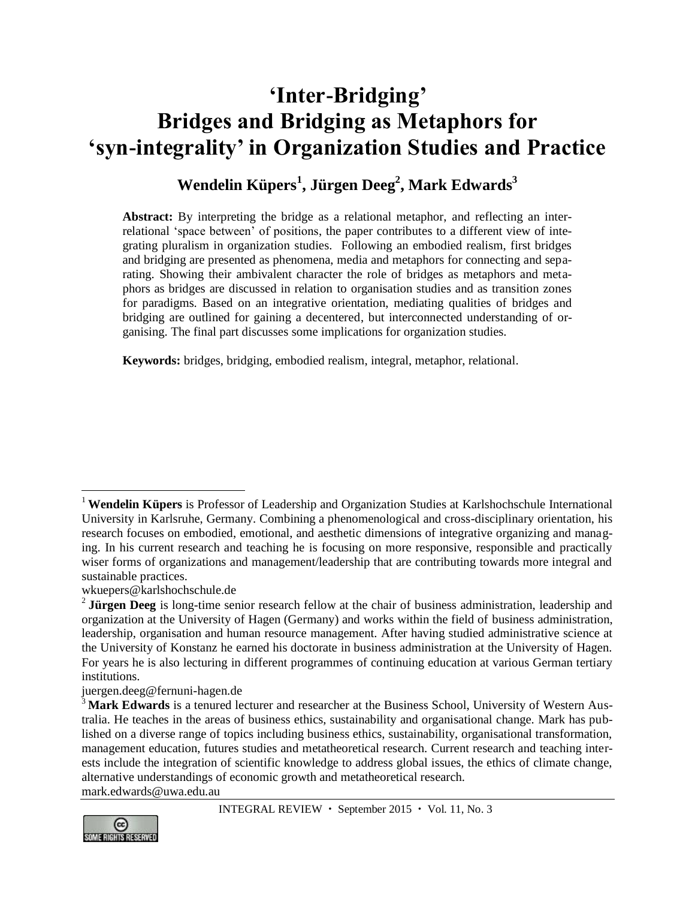# **'Inter-Bridging' Bridges and Bridging as Metaphors for 'syn-integrality' in Organization Studies and Practice**

# **Wendelin Küpers<sup>1</sup> , Jürgen Deeg<sup>2</sup> , Mark Edwards<sup>3</sup>**

**Abstract:** By interpreting the bridge as a relational metaphor, and reflecting an interrelational 'space between' of positions, the paper contributes to a different view of integrating pluralism in organization studies. Following an embodied realism, first bridges and bridging are presented as phenomena, media and metaphors for connecting and separating. Showing their ambivalent character the role of bridges as metaphors and metaphors as bridges are discussed in relation to organisation studies and as transition zones for paradigms. Based on an integrative orientation, mediating qualities of bridges and bridging are outlined for gaining a decentered, but interconnected understanding of organising. The final part discusses some implications for organization studies.

**Keywords:** bridges, bridging, embodied realism, integral, metaphor, relational.

[juergen.deeg@fernuni-hagen.de](mailto:juergen.deeg@fernuni-hagen.de)

<sup>&</sup>lt;sup>3</sup> Mark Edwards is a tenured lecturer and researcher at the Business School, University of Western Australia. He teaches in the areas of business ethics, sustainability and organisational change. Mark has published on a diverse range of topics including business ethics, sustainability, organisational transformation, management education, futures studies and metatheoretical research. Current research and teaching interests include the integration of scientific knowledge to address global issues, the ethics of climate change, alternative understandings of economic growth and metatheoretical research. [mark.edwards@uwa.edu.au](mailto:mark.edwards@uwa.edu.au)



 $\overline{a}$ <sup>1</sup> **Wendelin Küpers** is Professor of Leadership and Organization Studies at Karlshochschule International University in Karlsruhe, Germany. Combining a phenomenological and cross-disciplinary orientation, his research focuses on embodied, emotional, and aesthetic dimensions of integrative organizing and managing. In his current research and teaching he is focusing on more responsive, responsible and practically wiser forms of organizations and management/leadership that are contributing towards more integral and sustainable practices.

[wkuepers@karlshochschule.de](mailto:wkuepers@karlshochschule.de)

<sup>&</sup>lt;sup>2</sup> Jürgen Deeg is long-time senior research fellow at the chair of business administration, leadership and organization at the University of Hagen (Germany) and works within the field of business administration, leadership, organisation and human resource management. After having studied administrative science at the University of Konstanz he earned his doctorate in business administration at the University of Hagen. For years he is also lecturing in different programmes of continuing education at various German tertiary institutions.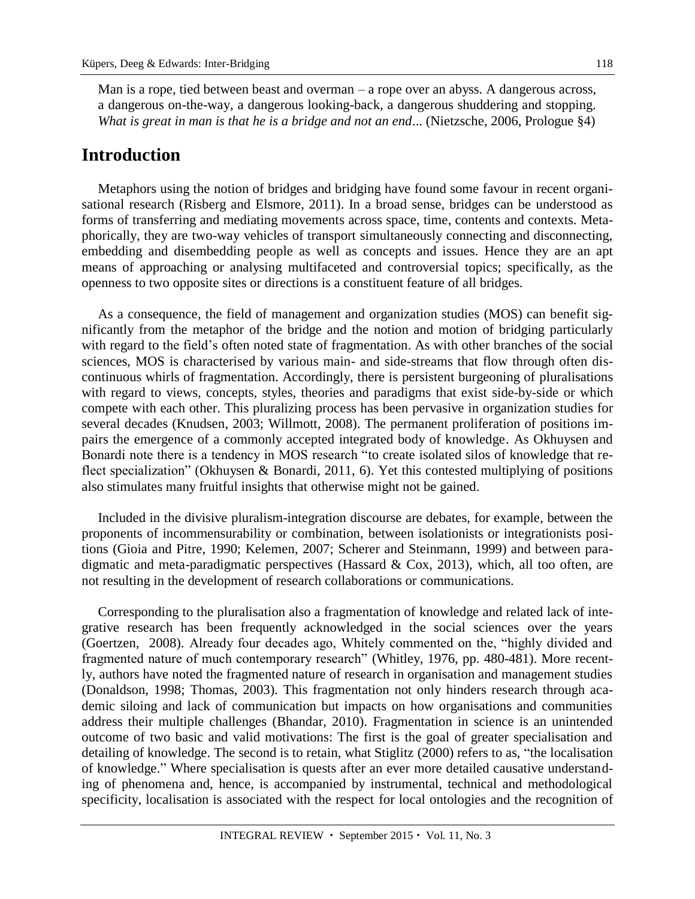Man is a rope, tied between beast and overman – a rope over an abyss. A dangerous across, a dangerous on-the-way, a dangerous looking-back, a dangerous shuddering and stopping. *What is great in man is that he is a bridge and not an end*... (Nietzsche, 2006, Prologue §4)

#### **Introduction**

Metaphors using the notion of bridges and bridging have found some favour in recent organisational research [\(Risberg](https://www.researchgate.net/researcher/2040153165_Annette_Risberg/) and [Elsmore,](https://www.researchgate.net/researcher/2021534227_peter_elsmore/) 2011). In a broad sense, bridges can be understood as forms of transferring and mediating movements across space, time, contents and contexts. Metaphorically, they are two-way vehicles of transport simultaneously connecting and disconnecting, embedding and disembedding people as well as concepts and issues. Hence they are an apt means of approaching or analysing multifaceted and controversial topics; specifically, as the openness to two opposite sites or directions is a constituent feature of all bridges.

As a consequence, the field of management and organization studies (MOS) can benefit significantly from the metaphor of the bridge and the notion and motion of bridging particularly with regard to the field's often noted state of fragmentation. As with other branches of the social sciences, MOS is characterised by various main- and side-streams that flow through often discontinuous whirls of fragmentation. Accordingly, there is persistent burgeoning of pluralisations with regard to views, concepts, styles, theories and paradigms that exist side-by-side or which compete with each other. This pluralizing process has been pervasive in organization studies for several decades (Knudsen, 2003; Willmott, 2008). The permanent proliferation of positions impairs the emergence of a commonly accepted integrated body of knowledge. As Okhuysen and Bonardi note there is a tendency in MOS research "to create isolated silos of knowledge that reflect specialization" (Okhuysen & Bonardi, 2011, 6). Yet this contested multiplying of positions also stimulates many fruitful insights that otherwise might not be gained.

Included in the divisive pluralism-integration discourse are debates, for example, between the proponents of incommensurability or combination, between isolationists or integrationists positions (Gioia and Pitre, 1990; Kelemen, 2007; Scherer and Steinmann, 1999) and between paradigmatic and meta-paradigmatic perspectives (Hassard & Cox, 2013), which, all too often, are not resulting in the development of research collaborations or communications.

Corresponding to the pluralisation also a fragmentation of knowledge and related lack of integrative research has been frequently acknowledged in the social sciences over the years (Goertzen, 2008). Already four decades ago, Whitely commented on the, "highly divided and fragmented nature of much contemporary research" (Whitley, 1976, pp. 480-481). More recently, authors have noted the fragmented nature of research in organisation and management studies (Donaldson, 1998; Thomas, 2003). This fragmentation not only hinders research through academic siloing and lack of communication but impacts on how organisations and communities address their multiple challenges (Bhandar, 2010). Fragmentation in science is an unintended outcome of two basic and valid motivations: The first is the goal of greater specialisation and detailing of knowledge. The second is to retain, what Stiglitz (2000) refers to as, "the localisation of knowledge." Where specialisation is quests after an ever more detailed causative understanding of phenomena and, hence, is accompanied by instrumental, technical and methodological specificity, localisation is associated with the respect for local ontologies and the recognition of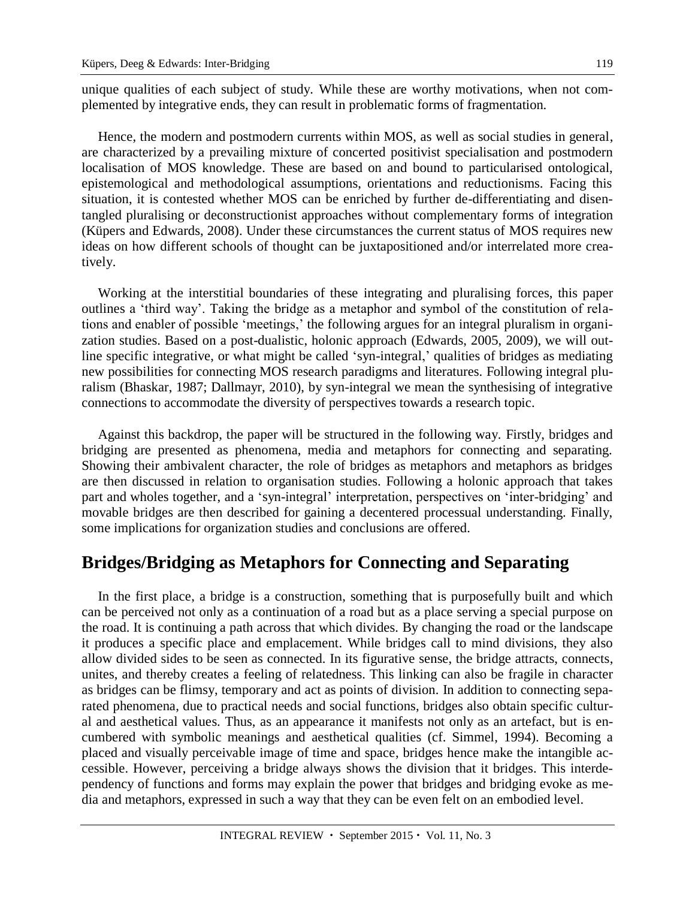unique qualities of each subject of study. While these are worthy motivations, when not complemented by integrative ends, they can result in problematic forms of fragmentation.

Hence, the modern and postmodern currents within MOS, as well as social studies in general, are characterized by a prevailing mixture of concerted positivist specialisation and postmodern localisation of MOS knowledge. These are based on and bound to particularised ontological, epistemological and methodological assumptions, orientations and reductionisms. Facing this situation, it is contested whether MOS can be enriched by further de-differentiating and disentangled pluralising or deconstructionist approaches without complementary forms of integration (Küpers and Edwards, 2008). Under these circumstances the current status of MOS requires new ideas on how different schools of thought can be juxtapositioned and/or interrelated more creatively.

Working at the interstitial boundaries of these integrating and pluralising forces, this paper outlines a 'third way'. Taking the bridge as a metaphor and symbol of the constitution of relations and enabler of possible 'meetings,' the following argues for an integral pluralism in organization studies. Based on a post-dualistic, holonic approach (Edwards, 2005, 2009), we will outline specific integrative, or what might be called 'syn-integral,' qualities of bridges as mediating new possibilities for connecting MOS research paradigms and literatures. Following integral pluralism (Bhaskar, 1987; Dallmayr, 2010), by syn-integral we mean the synthesising of integrative connections to accommodate the diversity of perspectives towards a research topic.

Against this backdrop, the paper will be structured in the following way. Firstly, bridges and bridging are presented as phenomena, media and metaphors for connecting and separating. Showing their ambivalent character, the role of bridges as metaphors and metaphors as bridges are then discussed in relation to organisation studies. Following a holonic approach that takes part and wholes together, and a 'syn-integral' interpretation, perspectives on 'inter-bridging' and movable bridges are then described for gaining a decentered processual understanding. Finally, some implications for organization studies and conclusions are offered.

#### **Bridges/Bridging as Metaphors for Connecting and Separating**

In the first place, a bridge is a construction, something that is purposefully built and which can be perceived not only as a continuation of a road but as a place serving a special purpose on the road. It is continuing a path across that which divides. By changing the road or the landscape it produces a specific place and emplacement. While bridges call to mind divisions, they also allow divided sides to be seen as connected. In its figurative sense, the bridge attracts, connects, unites, and thereby creates a feeling of relatedness. This linking can also be fragile in character as bridges can be flimsy, temporary and act as points of division. In addition to connecting separated phenomena, due to practical needs and social functions, bridges also obtain specific cultural and aesthetical values. Thus, as an appearance it manifests not only as an artefact, but is encumbered with symbolic meanings and aesthetical qualities (cf. Simmel, 1994). Becoming a placed and visually perceivable image of time and space, bridges hence make the intangible accessible. However, perceiving a bridge always shows the division that it bridges. This interdependency of functions and forms may explain the power that bridges and bridging evoke as media and metaphors, expressed in such a way that they can be even felt on an embodied level.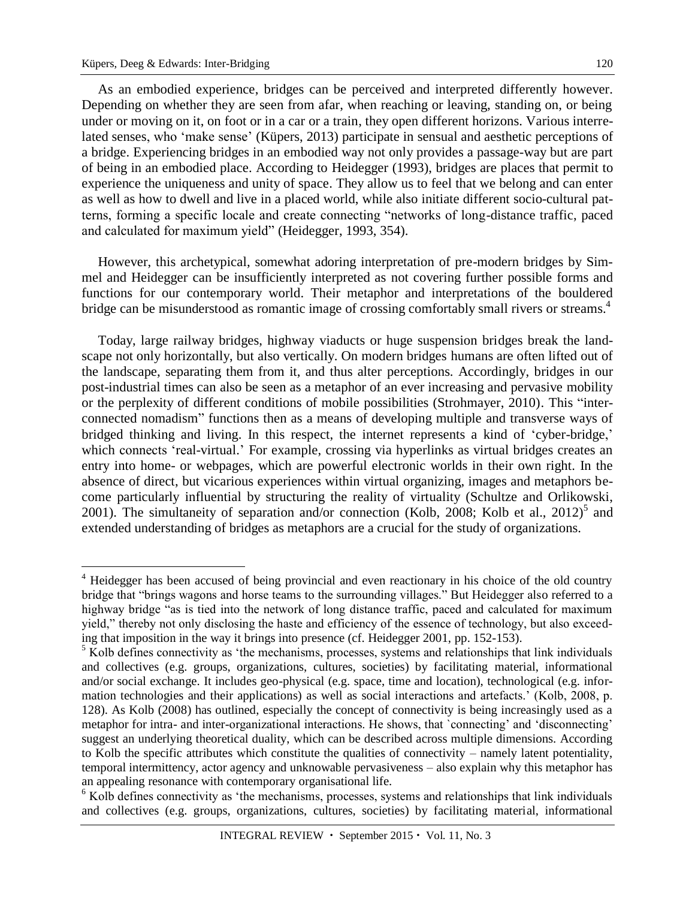As an embodied experience, bridges can be perceived and interpreted differently however. Depending on whether they are seen from afar, when reaching or leaving, standing on, or being under or moving on it, on foot or in a car or a train, they open different horizons. Various interrelated senses, who 'make sense' (Küpers, 2013) participate in sensual and aesthetic perceptions of a bridge. Experiencing bridges in an embodied way not only provides a passage-way but are part of being in an embodied place. According to Heidegger (1993), bridges are places that permit to experience the uniqueness and unity of space. They allow us to feel that we belong and can enter as well as how to dwell and live in a placed world, while also initiate different socio-cultural patterns, forming a specific locale and create connecting "networks of long-distance traffic, paced and calculated for maximum yield" (Heidegger, 1993, 354).

However, this archetypical, somewhat adoring interpretation of pre-modern bridges by Simmel and Heidegger can be insufficiently interpreted as not covering further possible forms and functions for our contemporary world. Their metaphor and interpretations of the bouldered bridge can be misunderstood as romantic image of crossing comfortably small rivers or streams.<sup>4</sup>

Today, large railway bridges, highway viaducts or huge suspension bridges break the landscape not only horizontally, but also vertically. On modern bridges humans are often lifted out of the landscape, separating them from it, and thus alter perceptions. Accordingly, bridges in our post-industrial times can also be seen as a metaphor of an ever increasing and pervasive mobility or the perplexity of different conditions of mobile possibilities (Strohmayer, 2010). This "interconnected nomadism" functions then as a means of developing multiple and transverse ways of bridged thinking and living. In this respect, the internet represents a kind of 'cyber-bridge,' which connects 'real-virtual.' For example, crossing via hyperlinks as virtual bridges creates an entry into home- or webpages, which are powerful electronic worlds in their own right. In the absence of direct, but vicarious experiences within virtual organizing, images and metaphors become particularly influential by structuring the reality of virtuality (Schultze and Orlikowski, 2001). The simultaneity of separation and/or connection (Kolb, 2008; Kolb et al., 2012)<sup>5</sup> and extended understanding of bridges as metaphors are a crucial for the study of organizations.

<sup>&</sup>lt;sup>4</sup> Heidegger has been accused of being provincial and even reactionary in his choice of the old country bridge that "brings wagons and horse teams to the surrounding villages." But Heidegger also referred to a highway bridge "as is tied into the network of long distance traffic, paced and calculated for maximum yield," thereby not only disclosing the haste and efficiency of the essence of technology, but also exceeding that imposition in the way it brings into presence (cf. Heidegger 2001, pp. 152-153).

<sup>&</sup>lt;sup>5</sup> Kolb defines connectivity as 'the mechanisms, processes, systems and relationships that link individuals and collectives (e.g. groups, organizations, cultures, societies) by facilitating material, informational and/or social exchange. It includes geo-physical (e.g. space, time and location), technological (e.g. information technologies and their applications) as well as social interactions and artefacts.' (Kolb, 2008, p. 128). As Kolb (2008) has outlined, especially the concept of connectivity is being increasingly used as a metaphor for intra- and inter-organizational interactions. He shows, that `connecting' and 'disconnecting' suggest an underlying theoretical duality, which can be described across multiple dimensions. According to Kolb the specific attributes which constitute the qualities of connectivity – namely latent potentiality, temporal intermittency, actor agency and unknowable pervasiveness – also explain why this metaphor has an appealing resonance with contemporary organisational life.

<sup>&</sup>lt;sup>6</sup> Kolb defines connectivity as 'the mechanisms, processes, systems and relationships that link individuals and collectives (e.g. groups, organizations, cultures, societies) by facilitating material, informational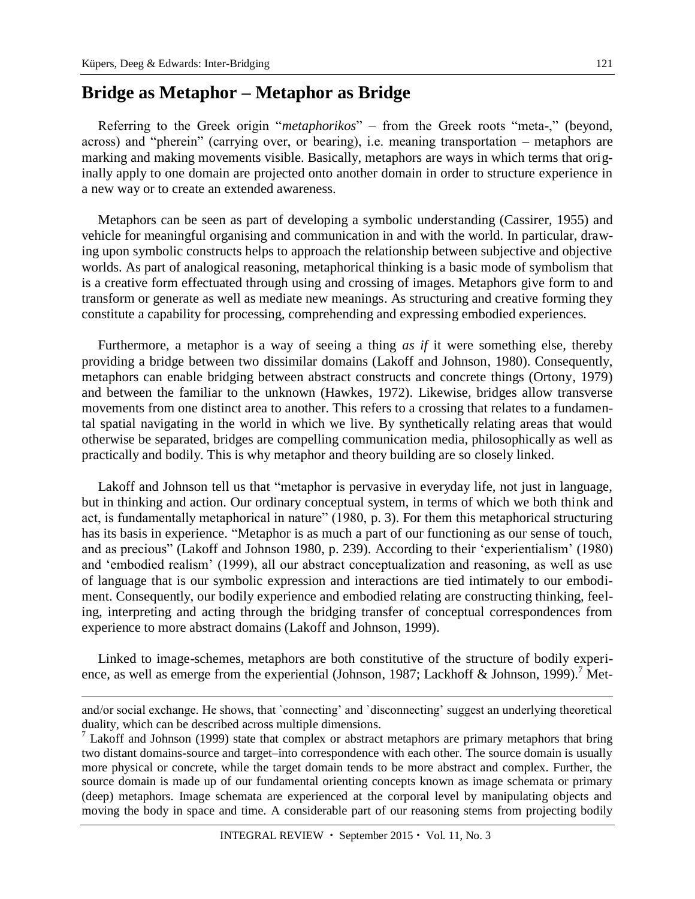#### **Bridge as Metaphor – Metaphor as Bridge**

Referring to the Greek origin "*metaphorikos*" – from the Greek roots "meta-," (beyond, across) and "pherein" (carrying over, or bearing), i.e. meaning transportation – metaphors are marking and making movements visible. Basically, metaphors are ways in which terms that originally apply to one domain are projected onto another domain in order to structure experience in a new way or to create an extended awareness.

Metaphors can be seen as part of developing a symbolic understanding (Cassirer, 1955) and vehicle for meaningful organising and communication in and with the world. In particular, drawing upon symbolic constructs helps to approach the relationship between subjective and objective worlds. As part of analogical reasoning, metaphorical thinking is a basic mode of symbolism that is a creative form effectuated through using and crossing of images. Metaphors give form to and transform or generate as well as mediate new meanings. As structuring and creative forming they constitute a capability for processing, comprehending and expressing embodied experiences.

Furthermore, a metaphor is a way of seeing a thing *as if* it were something else, thereby providing a bridge between two dissimilar domains (Lakoff and Johnson, 1980). Consequently, metaphors can enable bridging between abstract constructs and concrete things (Ortony, 1979) and between the familiar to the unknown (Hawkes, 1972). Likewise, bridges allow transverse movements from one distinct area to another. This refers to a crossing that relates to a fundamental spatial navigating in the world in which we live. By synthetically relating areas that would otherwise be separated, bridges are compelling communication media, philosophically as well as practically and bodily. This is why metaphor and theory building are so closely linked.

Lakoff and Johnson tell us that "metaphor is pervasive in everyday life, not just in language, but in thinking and action. Our ordinary conceptual system, in terms of which we both think and act, is fundamentally metaphorical in nature" (1980, p. 3). For them this metaphorical structuring has its basis in experience. "Metaphor is as much a part of our functioning as our sense of touch, and as precious" (Lakoff and Johnson 1980, p. 239). According to their 'experientialism' (1980) and 'embodied realism' (1999), all our abstract conceptualization and reasoning, as well as use of language that is our symbolic expression and interactions are tied intimately to our embodiment. Consequently, our bodily experience and embodied relating are constructing thinking, feeling, interpreting and acting through the bridging transfer of conceptual correspondences from experience to more abstract domains (Lakoff and Johnson, 1999).

Linked to image-schemes, metaphors are both constitutive of the structure of bodily experience, as well as emerge from the experiential (Johnson, 1987; Lackhoff & Johnson, 1999).<sup>7</sup> Met-

and/or social exchange. He shows, that `connecting' and `disconnecting' suggest an underlying theoretical duality, which can be described across multiple dimensions.

<sup>&</sup>lt;sup>7</sup> Lakoff and Johnson (1999) state that complex or abstract metaphors are primary metaphors that bring two distant domains-source and target–into correspondence with each other. The source domain is usually more physical or concrete, while the target domain tends to be more abstract and complex. Further, the source domain is made up of our fundamental orienting concepts known as image schemata or primary (deep) metaphors. Image schemata are experienced at the corporal level by manipulating objects and moving the body in space and time. A considerable part of our reasoning stems from projecting bodily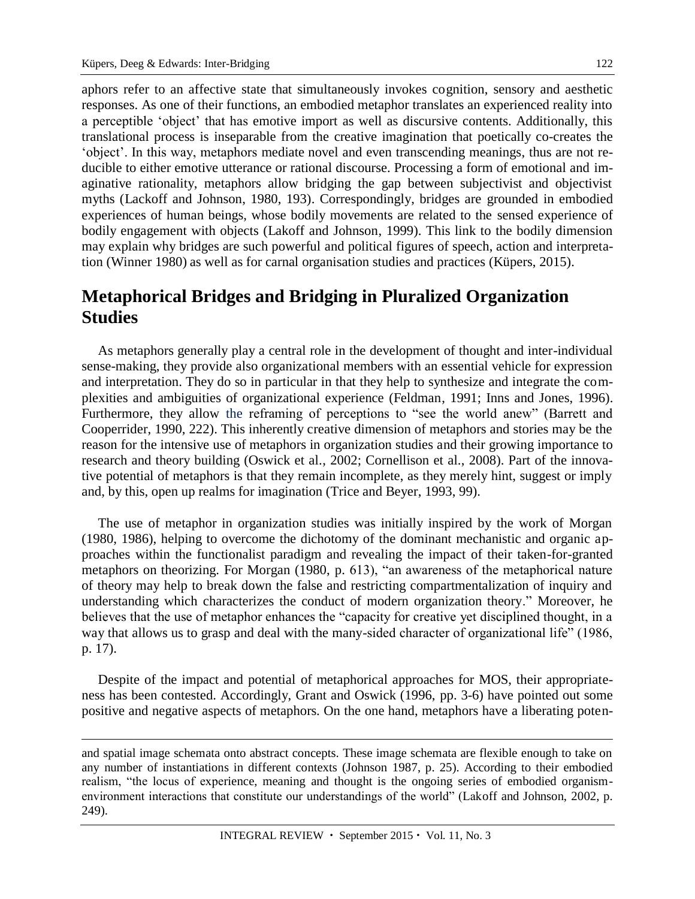aphors refer to an affective state that simultaneously invokes cognition, sensory and aesthetic responses. As one of their functions, an embodied metaphor translates an experienced reality into a perceptible 'object' that has emotive import as well as discursive contents. Additionally, this translational process is inseparable from the creative imagination that poetically co-creates the 'object'. In this way, metaphors mediate novel and even transcending meanings, thus are not reducible to either emotive utterance or rational discourse. Processing a form of emotional and imaginative rationality, metaphors allow bridging the gap between subjectivist and objectivist myths (Lackoff and Johnson, 1980, 193). Correspondingly, bridges are grounded in embodied experiences of human beings, whose bodily movements are related to the sensed experience of bodily engagement with objects (Lakoff and Johnson, 1999). This link to the bodily dimension may explain why bridges are such powerful and political figures of speech, action and interpretation (Winner 1980) as well as for carnal organisation studies and practices (Küpers, 2015).

# **Metaphorical Bridges and Bridging in Pluralized Organization Studies**

As metaphors generally play a central role in the development of thought and inter-individual sense-making, they provide also organizational members with an essential vehicle for expression and interpretation. They do so in particular in that they help to synthesize and integrate the complexities and ambiguities of organizational experience (Feldman, 1991; Inns and Jones, 1996). Furthermore, they allow the reframing of perceptions to "see the world anew" (Barrett and Cooperrider, 1990, 222). This inherently creative dimension of metaphors and stories may be the reason for the intensive use of metaphors in organization studies and their growing importance to research and theory building (Oswick et al., 2002; Cornellison et al., 2008). Part of the innovative potential of metaphors is that they remain incomplete, as they merely hint, suggest or imply and, by this, open up realms for imagination (Trice and Beyer, 1993, 99).

The use of metaphor in organization studies was initially inspired by the work of Morgan (1980, 1986), helping to overcome the dichotomy of the dominant mechanistic and organic approaches within the functionalist paradigm and revealing the impact of their taken-for-granted metaphors on theorizing. For Morgan (1980, p. 613), "an awareness of the metaphorical nature of theory may help to break down the false and restricting compartmentalization of inquiry and understanding which characterizes the conduct of modern organization theory." Moreover, he believes that the use of metaphor enhances the "capacity for creative yet disciplined thought, in a way that allows us to grasp and deal with the many-sided character of organizational life" (1986, p. 17).

Despite of the impact and potential of metaphorical approaches for MOS, their appropriateness has been contested. Accordingly, Grant and Oswick (1996, pp. 3-6) have pointed out some positive and negative aspects of metaphors. On the one hand, metaphors have a liberating poten-

and spatial image schemata onto abstract concepts. These image schemata are flexible enough to take on any number of instantiations in different contexts (Johnson 1987, p. 25). According to their embodied realism, "the locus of experience, meaning and thought is the ongoing series of embodied organismenvironment interactions that constitute our understandings of the world" (Lakoff and Johnson, 2002, p. 249).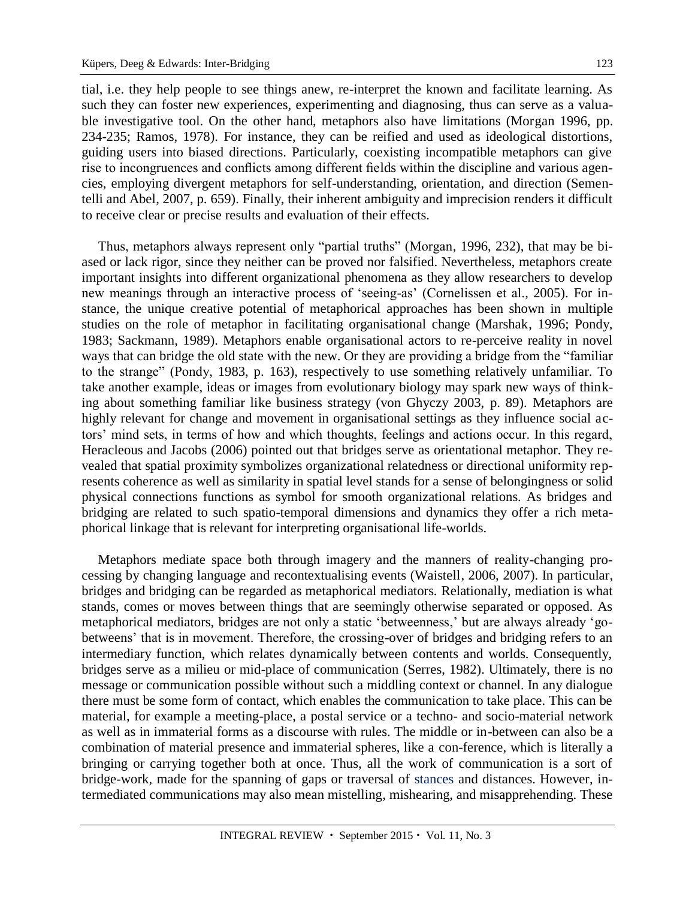tial*,* i.e. they help people to see things anew, re-interpret the known and facilitate learning. As such they can foster new experiences, experimenting and diagnosing, thus can serve as a valuable investigative tool. On the other hand, metaphors also have limitations (Morgan 1996, pp. 234-235; Ramos, 1978). For instance, they can be reified and used as ideological distortions, guiding users into biased directions. Particularly, coexisting incompatible metaphors can give rise to incongruences and conflicts among different fields within the discipline and various agencies, employing divergent metaphors for self-understanding, orientation, and direction (Sementelli and Abel, 2007, p. 659). Finally, their inherent ambiguity and imprecision renders it difficult to receive clear or precise results and evaluation of their effects.

Thus, metaphors always represent only "partial truths" (Morgan, 1996, 232), that may be biased or lack rigor, since they neither can be proved nor falsified. Nevertheless, metaphors create important insights into different organizational phenomena as they allow researchers to develop new meanings through an interactive process of 'seeing-as' (Cornelissen et al., 2005). For instance, the unique creative potential of metaphorical approaches has been shown in multiple studies on the role of metaphor in facilitating organisational change (Marshak, 1996; Pondy, 1983; Sackmann, 1989). Metaphors enable organisational actors to re-perceive reality in novel ways that can bridge the old state with the new. Or they are providing a bridge from the "familiar to the strange" (Pondy, 1983, p. 163), respectively to use something relatively unfamiliar. To take another example, ideas or images from evolutionary biology may spark new ways of thinking about something familiar like business strategy (von Ghyczy 2003, p. 89). Metaphors are highly relevant for change and movement in organisational settings as they influence social actors' mind sets, in terms of how and which thoughts, feelings and actions occur. In this regard, Heracleous and Jacobs (2006) pointed out that bridges serve as orientational metaphor. They revealed that spatial proximity symbolizes organizational relatedness or directional uniformity represents coherence as well as similarity in spatial level stands for a sense of belongingness or solid physical connections functions as symbol for smooth organizational relations. As bridges and bridging are related to such spatio-temporal dimensions and dynamics they offer a rich metaphorical linkage that is relevant for interpreting organisational life-worlds.

Metaphors mediate space both through imagery and the manners of reality-changing processing by changing language and recontextualising events (Waistell, 2006, 2007). In particular, bridges and bridging can be regarded as metaphorical mediators*.* Relationally, mediation is what stands, comes or moves between things that are seemingly otherwise separated or opposed. As metaphorical mediators, bridges are not only a static 'betweenness,' but are always already 'gobetweens' that is in movement. Therefore, the crossing-over of bridges and bridging refers to an intermediary function, which relates dynamically between contents and worlds. Consequently, bridges serve as a milieu or mid-place of communication (Serres, 1982). Ultimately, there is no message or communication possible without such a middling context or channel. In any dialogue there must be some form of contact, which enables the communication to take place. This can be material, for example a meeting-place, a postal service or a techno- and socio-material network as well as in immaterial forms as a discourse with rules. The middle or in-between can also be a combination of material presence and immaterial spheres, like a con-ference, which is literally a bringing or carrying together both at once. Thus, all the work of communication is a sort of bridge-work, made for the spanning of gaps or traversal of stances and distances. However, intermediated communications may also mean mistelling, mishearing, and misapprehending. These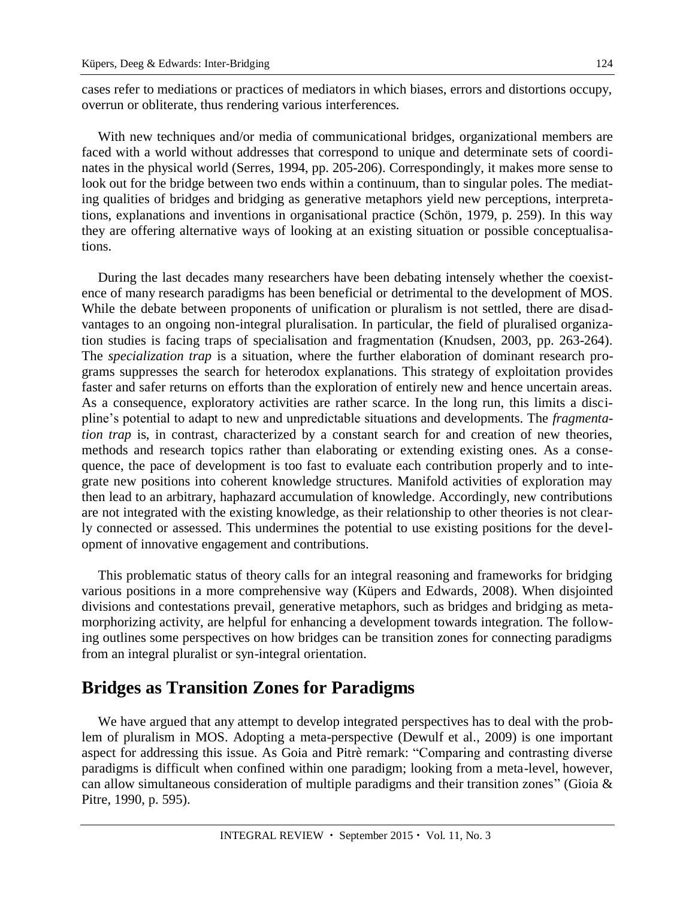cases refer to mediations or practices of mediators in which biases, errors and distortions occupy, overrun or obliterate, thus rendering various interferences.

With new techniques and/or media of communicational bridges, organizational members are faced with a world without addresses that correspond to unique and determinate sets of coordinates in the physical world (Serres, 1994, pp. 205-206). Correspondingly, it makes more sense to look out for the bridge between two ends within a continuum, than to singular poles. The mediating qualities of bridges and bridging as generative metaphors yield new perceptions, interpretations, explanations and inventions in organisational practice (Schön, 1979, p. 259). In this way they are offering alternative ways of looking at an existing situation or possible conceptualisations.

During the last decades many researchers have been debating intensely whether the coexistence of many research paradigms has been beneficial or detrimental to the development of MOS. While the debate between proponents of unification or pluralism is not settled, there are disadvantages to an ongoing non-integral pluralisation. In particular, the field of pluralised organization studies is facing traps of specialisation and fragmentation (Knudsen, 2003, pp. 263-264). The *specialization trap* is a situation, where the further elaboration of dominant research programs suppresses the search for heterodox explanations. This strategy of exploitation provides faster and safer returns on efforts than the exploration of entirely new and hence uncertain areas. As a consequence, exploratory activities are rather scarce. In the long run, this limits a discipline's potential to adapt to new and unpredictable situations and developments. The *fragmentation trap* is, in contrast, characterized by a constant search for and creation of new theories, methods and research topics rather than elaborating or extending existing ones. As a consequence, the pace of development is too fast to evaluate each contribution properly and to integrate new positions into coherent knowledge structures. Manifold activities of exploration may then lead to an arbitrary, haphazard accumulation of knowledge. Accordingly, new contributions are not integrated with the existing knowledge, as their relationship to other theories is not clearly connected or assessed. This undermines the potential to use existing positions for the development of innovative engagement and contributions.

This problematic status of theory calls for an integral reasoning and frameworks for bridging various positions in a more comprehensive way (Küpers and Edwards, 2008). When disjointed divisions and contestations prevail, generative metaphors, such as bridges and bridging as metamorphorizing activity, are helpful for enhancing a development towards integration. The following outlines some perspectives on how bridges can be transition zones for connecting paradigms from an integral pluralist or syn-integral orientation.

### **Bridges as Transition Zones for Paradigms**

We have argued that any attempt to develop integrated perspectives has to deal with the problem of pluralism in MOS. Adopting a meta-perspective (Dewulf et al., 2009) is one important aspect for addressing this issue. As Goia and Pitrè remark: "Comparing and contrasting diverse paradigms is difficult when confined within one paradigm; looking from a meta-level, however, can allow simultaneous consideration of multiple paradigms and their transition zones" (Gioia & Pitre, 1990, p. 595).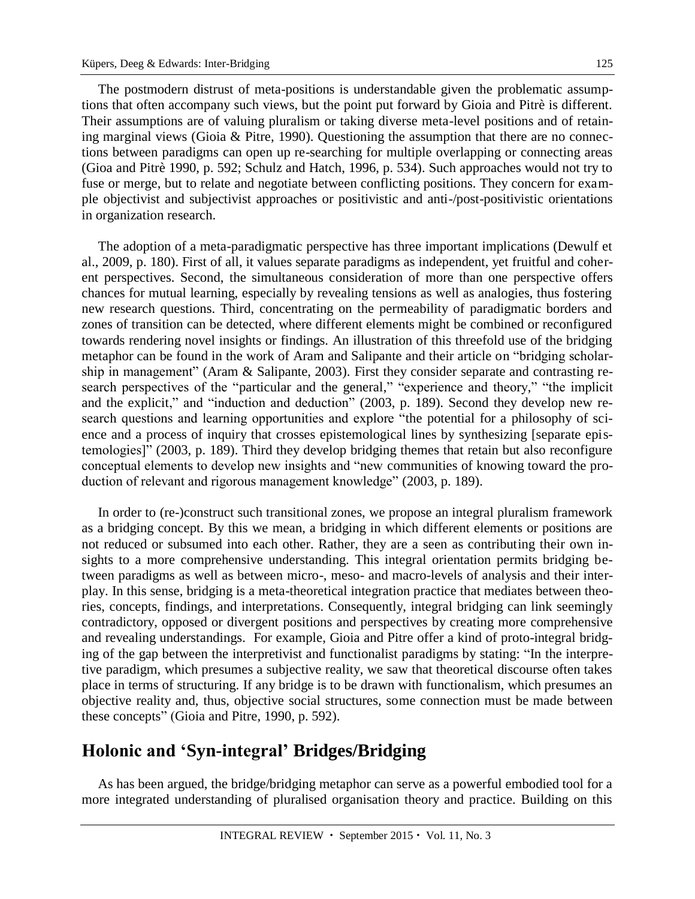125

The postmodern distrust of meta-positions is understandable given the problematic assumptions that often accompany such views, but the point put forward by Gioia and Pitrè is different. Their assumptions are of valuing pluralism or taking diverse meta-level positions and of retaining marginal views (Gioia & Pitre, 1990). Questioning the assumption that there are no connections between paradigms can open up re-searching for multiple overlapping or connecting areas (Gioa and Pitrè 1990, p. 592; Schulz and Hatch, 1996, p. 534). Such approaches would not try to fuse or merge, but to relate and negotiate between conflicting positions. They concern for example objectivist and subjectivist approaches or positivistic and anti-/post-positivistic orientations in organization research.

The adoption of a meta-paradigmatic perspective has three important implications (Dewulf et al., 2009, p. 180). First of all, it values separate paradigms as independent, yet fruitful and coherent perspectives. Second, the simultaneous consideration of more than one perspective offers chances for mutual learning, especially by revealing tensions as well as analogies, thus fostering new research questions. Third, concentrating on the permeability of paradigmatic borders and zones of transition can be detected, where different elements might be combined or reconfigured towards rendering novel insights or findings. An illustration of this threefold use of the bridging metaphor can be found in the work of Aram and Salipante and their article on "bridging scholarship in management" (Aram & Salipante, 2003). First they consider separate and contrasting research perspectives of the "particular and the general," "experience and theory," "the implicit and the explicit," and "induction and deduction" (2003, p. 189). Second they develop new research questions and learning opportunities and explore "the potential for a philosophy of science and a process of inquiry that crosses epistemological lines by synthesizing [separate epistemologies]" (2003, p. 189). Third they develop bridging themes that retain but also reconfigure conceptual elements to develop new insights and "new communities of knowing toward the production of relevant and rigorous management knowledge" (2003, p. 189).

In order to (re-)construct such transitional zones, we propose an integral pluralism framework as a bridging concept*.* By this we mean, a bridging in which different elements or positions are not reduced or subsumed into each other. Rather, they are a seen as contributing their own insights to a more comprehensive understanding. This integral orientation permits bridging between paradigms as well as between micro-, meso- and macro-levels of analysis and their interplay. In this sense, bridging is a meta-theoretical integration practice that mediates between theories, concepts, findings, and interpretations. Consequently, integral bridging can link seemingly contradictory, opposed or divergent positions and perspectives by creating more comprehensive and revealing understandings. For example, Gioia and Pitre offer a kind of proto-integral bridging of the gap between the interpretivist and functionalist paradigms by stating: "In the interpretive paradigm, which presumes a subjective reality, we saw that theoretical discourse often takes place in terms of structuring. If any bridge is to be drawn with functionalism, which presumes an objective reality and, thus, objective social structures, some connection must be made between these concepts" (Gioia and Pitre, 1990, p. 592).

#### **Holonic and 'Syn-integral' Bridges/Bridging**

As has been argued, the bridge/bridging metaphor can serve as a powerful embodied tool for a more integrated understanding of pluralised organisation theory and practice. Building on this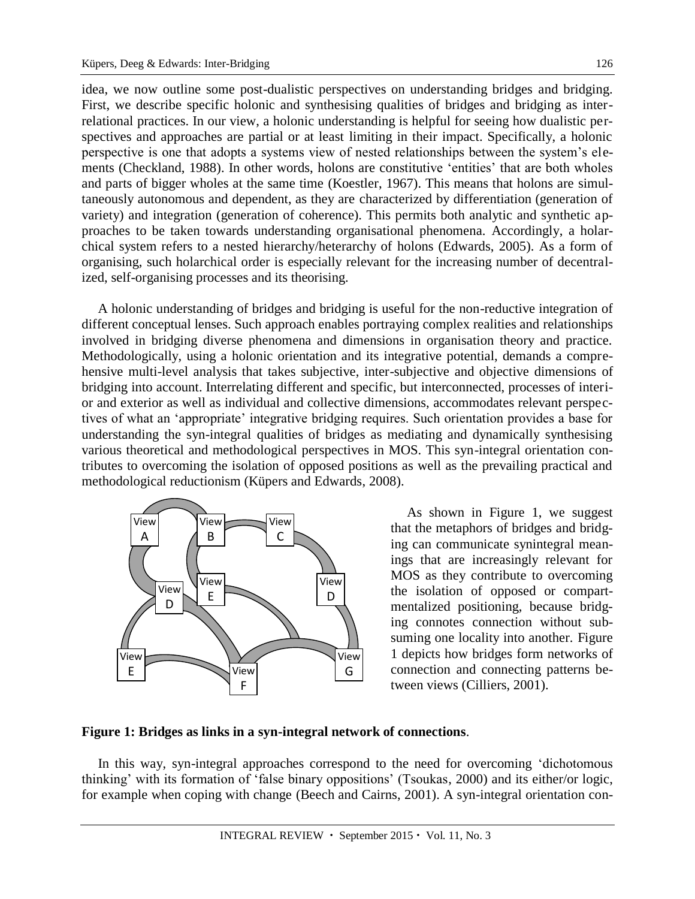idea, we now outline some post-dualistic perspectives on understanding bridges and bridging. First, we describe specific holonic and synthesising qualities of bridges and bridging as interrelational practices. In our view, a holonic understanding is helpful for seeing how dualistic perspectives and approaches are partial or at least limiting in their impact. Specifically, a holonic perspective is one that adopts a systems view of nested relationships between the system's elements (Checkland, 1988). In other words, holons are constitutive 'entities' that are both wholes and parts of bigger wholes at the same time (Koestler, 1967). This means that holons are simultaneously autonomous and dependent, as they are characterized by differentiation (generation of variety) and integration (generation of coherence). This permits both analytic and synthetic approaches to be taken towards understanding organisational phenomena. Accordingly, a holarchical system refers to a nested [hierarchy/](http://en.wikipedia.org/wiki/Hierarchy)heterarchy of [holons](http://en.wikipedia.org/wiki/Holon_%28philosophy%29) (Edwards, 2005). As a form of organising, such holarchical order is especially relevant for the increasing number of decentralized, self-organising processes and its theorising.

A holonic understanding of bridges and bridging is useful for the non-reductive integration of different conceptual lenses. Such approach enables portraying complex realities and relationships involved in bridging diverse phenomena and dimensions in organisation theory and practice. Methodologically, using a holonic orientation and its integrative potential, demands a comprehensive multi-level analysis that takes subjective, inter-subjective and objective dimensions of bridging into account. Interrelating different and specific, but interconnected, processes of interior and exterior as well as individual and collective dimensions, accommodates relevant perspectives of what an 'appropriate' integrative bridging requires. Such orientation provides a base for understanding the syn-integral qualities of bridges as mediating and dynamically synthesising various theoretical and methodological perspectives in MOS. This syn-integral orientation contributes to overcoming the isolation of opposed positions as well as the prevailing practical and methodological reductionism (Küpers and Edwards, 2008).



As shown in Figure 1, we suggest that the metaphors of bridges and bridging can communicate synintegral meanings that are increasingly relevant for MOS as they contribute to overcoming the isolation of opposed or compartmentalized positioning, because bridging connotes connection without subsuming one locality into another. Figure 1 depicts how bridges form networks of connection and connecting patterns between views (Cilliers, 2001).

#### **Figure 1: Bridges as links in a syn-integral network of connections**.

In this way, syn-integral approaches correspond to the need for overcoming 'dichotomous thinking' with its formation of 'false binary oppositions' (Tsoukas, 2000) and its either/or logic, for example when coping with change (Beech and Cairns, 2001). A syn-integral orientation con-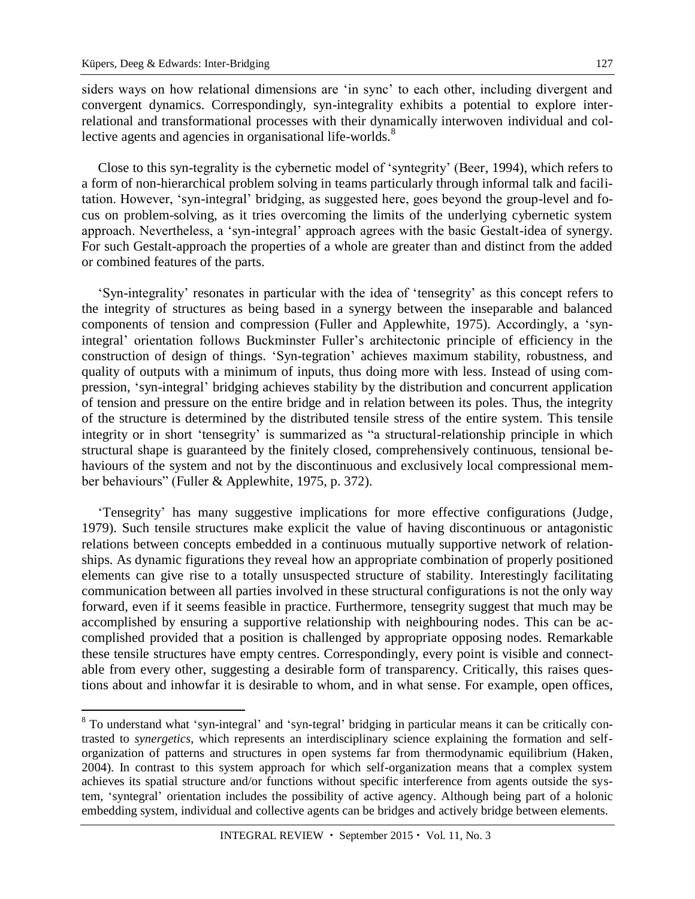siders ways on how relational dimensions are 'in sync' to each other, including divergent and convergent dynamics. Correspondingly, syn-integrality exhibits a potential to explore interrelational and transformational processes with their dynamically interwoven individual and collective agents and agencies in organisational life-worlds.<sup>8</sup>

Close to this syn-tegrality is the cybernetic model of 'syntegrity' (Beer, 1994), which refers to a form of non-hierarchical problem solving in teams particularly through informal talk and facilitation. However, 'syn-integral' bridging, as suggested here, goes beyond the group-level and focus on problem-solving, as it tries overcoming the limits of the underlying cybernetic system approach. Nevertheless, a 'syn-integral' approach agrees with the basic Gestalt-idea of synergy. For such Gestalt-approach the properties of a whole are greater than and distinct from the added or combined features of the parts.

'Syn-integrality' resonates in particular with the idea of 'tensegrity' as this concept refers to the integrity of structures as being based in a synergy between the inseparable and balanced components of tension and compression (Fuller and Applewhite, 1975). Accordingly, a 'synintegral' orientation follows Buckminster Fuller's architectonic principle of efficiency in the construction of design of things. 'Syn-tegration' achieves maximum stability, robustness, and quality of outputs with a minimum of inputs, thus doing more with less. Instead of using compression, 'syn-integral' bridging achieves stability by the distribution and concurrent application of tension and pressure on the entire bridge and in relation between its poles. Thus, the integrity of the structure is determined by the distributed tensile stress of the entire system. This tensile integrity or in short 'tensegrity' is summarized as "a structural-relationship principle in which structural shape is guaranteed by the finitely closed, comprehensively continuous, tensional behaviours of the system and not by the discontinuous and exclusively local compressional member behaviours" (Fuller & Applewhite, 1975, p. 372).

'Tensegrity' has many suggestive implications for more effective configurations (Judge, 1979). Such tensile structures make explicit the value of having discontinuous or antagonistic relations between concepts embedded in a continuous mutually supportive network of relationships. As dynamic figurations they reveal how an appropriate combination of properly positioned elements can give rise to a totally unsuspected structure of stability. Interestingly facilitating communication between all parties involved in these structural configurations is not the only way forward, even if it seems feasible in practice. Furthermore, tensegrity suggest that much may be accomplished by ensuring a supportive relationship with neighbouring nodes. This can be accomplished provided that a position is challenged by appropriate opposing nodes. Remarkable these tensile structures have empty centres. Correspondingly, every point is visible and connectable from every other, suggesting a desirable form of transparency. Critically, this raises questions about and inhowfar it is desirable to whom, and in what sense. For example, open offices,

<sup>8</sup> To understand what 'syn-integral' and 'syn-tegral' bridging in particular means it can be critically contrasted to *synergetics*, which represents an interdisciplinary science explaining the formation and selforganization of patterns and structures in open systems far from thermodynamic equilibrium (Haken, 2004). In contrast to this system approach for which self-organization means that a complex system achieves its spatial structure and/or functions without specific interference from agents outside the system, 'syntegral' orientation includes the possibility of active agency. Although being part of a holonic embedding system, individual and collective agents can be bridges and actively bridge between elements.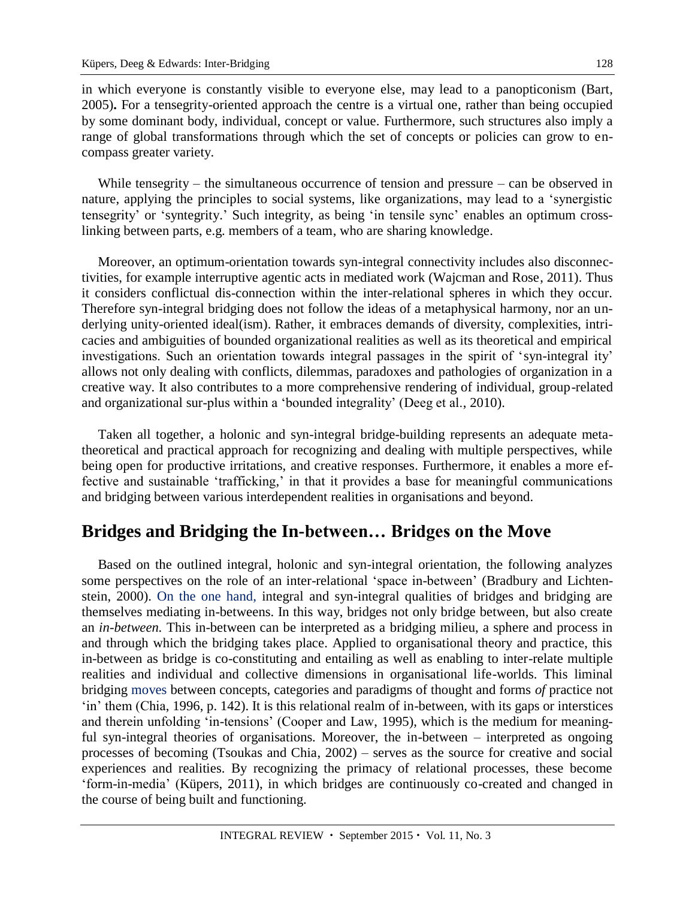in which everyone is constantly visible to everyone else, may lead to a panopticonism (Bart, 2005)**.** For a tensegrity-oriented approach the centre is a virtual one, rather than being occupied by some dominant body, individual, concept or value. Furthermore, such structures also imply a range of global transformations through which the set of concepts or policies can grow to encompass greater variety.

While tensegrity – the simultaneous occurrence of tension and pressure – can be observed in nature, applying the principles to social systems, like organizations, may lead to a 'synergistic tensegrity' or 'syntegrity.' Such integrity, as being 'in tensile sync' enables an optimum crosslinking between parts, e.g. members of a team, who are sharing knowledge.

Moreover, an optimum-orientation towards syn-integral connectivity includes also disconnectivities, for example interruptive agentic acts in mediated work (Wajcman and Rose, 2011). Thus it considers conflictual dis-connection within the inter-relational spheres in which they occur. Therefore syn-integral bridging does not follow the ideas of a metaphysical harmony, nor an underlying unity-oriented ideal(ism). Rather, it embraces demands of diversity, complexities, intricacies and ambiguities of bounded organizational realities as well as its theoretical and empirical investigations. Such an orientation towards integral passages in the spirit of 'syn-integral ity' allows not only dealing with conflicts, dilemmas, paradoxes and pathologies of organization in a creative way. It also contributes to a more comprehensive rendering of individual, group-related and organizational sur-plus within a 'bounded integrality' (Deeg et al., 2010).

Taken all together, a holonic and syn-integral bridge-building represents an adequate metatheoretical and practical approach for recognizing and dealing with multiple perspectives, while being open for productive irritations, and creative responses. Furthermore, it enables a more effective and sustainable 'trafficking,' in that it provides a base for meaningful communications and bridging between various interdependent realities in organisations and beyond.

#### **Bridges and Bridging the In-between… Bridges on the Move**

Based on the outlined integral, holonic and syn-integral orientation, the following analyzes some perspectives on the role of an inter-relational 'space in-between' (Bradbury and Lichtenstein, 2000). On the one hand, integral and syn-integral qualities of bridges and bridging are themselves mediating in-betweens. In this way, bridges not only bridge between, but also create an *in-between.* This in-between can be interpreted as a bridging milieu, a sphere and process in and through which the bridging takes place. Applied to organisational theory and practice, this in-between as bridge is co-constituting and entailing as well as enabling to inter-relate multiple realities and individual and collective dimensions in organisational life-worlds. This liminal bridging moves between concepts, categories and paradigms of thought and forms *of* practice not 'in' them (Chia, 1996, p. 142). It is this relational realm of in-between, with its gaps or interstices and therein unfolding 'in-tensions' (Cooper and Law, 1995), which is the medium for meaningful syn-integral theories of organisations. Moreover, the in-between – interpreted as ongoing processes of becoming (Tsoukas and Chia, 2002) – serves as the source for creative and social experiences and realities. By recognizing the primacy of relational processes, these become 'form-in-media' (Küpers, 2011), in which bridges are continuously co-created and changed in the course of being built and functioning.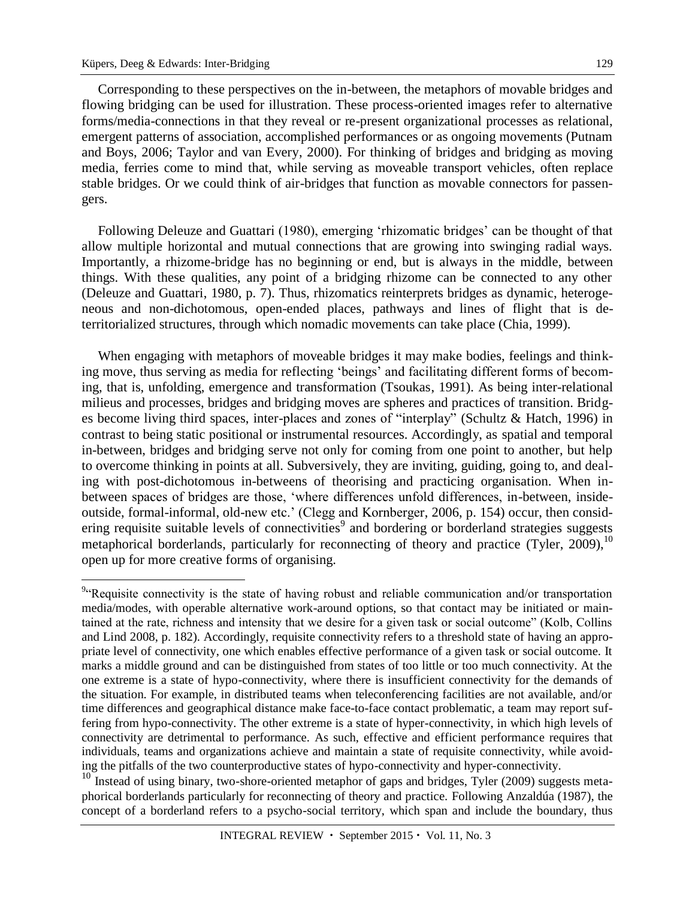Corresponding to these perspectives on the in-between, the metaphors of movable bridges and flowing bridging can be used for illustration. These process-oriented images refer to alternative forms/media-connections in that they reveal or re-present organizational processes as relational, emergent patterns of association, accomplished performances or as ongoing movements (Putnam and Boys, 2006; Taylor and van Every, 2000). For thinking of bridges and bridging as moving media, ferries come to mind that, while serving as moveable transport vehicles, often replace stable bridges. Or we could think of air-bridges that function as movable connectors for passengers.

Following Deleuze and Guattari (1980), emerging 'rhizomatic bridges' can be thought of that allow multiple horizontal and mutual connections that are growing into swinging radial ways. Importantly, a rhizome-bridge has no beginning or end, but is always in the middle, between things. With these qualities, any point of a bridging rhizome can be connected to any other (Deleuze and Guattari, 1980, p. 7). Thus, rhizomatics reinterprets bridges as dynamic, heterogeneous and non-dichotomous, open-ended places, pathways and lines of flight that is deterritorialized structures, through which nomadic movements can take place (Chia, 1999).

When engaging with metaphors of moveable bridges it may make bodies, feelings and thinking move, thus serving as media for reflecting 'beings' and facilitating different forms of becoming, that is, unfolding, emergence and transformation (Tsoukas, 1991). As being inter-relational milieus and processes, bridges and bridging moves are spheres and practices of transition. Bridges become living third spaces, inter-places and zones of "interplay" (Schultz & Hatch, 1996) in contrast to being static positional or instrumental resources. Accordingly, as spatial and temporal in-between, bridges and bridging serve not only for coming from one point to another, but help to overcome thinking in points at all. Subversively, they are inviting, guiding, going to, and dealing with post-dichotomous in-betweens of theorising and practicing organisation. When inbetween spaces of bridges are those, 'where differences unfold differences, in-between, insideoutside, formal-informal, old-new etc.' (Clegg and Kornberger, 2006, p. 154) occur, then considering requisite suitable levels of connectivities<sup>9</sup> and bordering or borderland strategies suggests metaphorical borderlands, particularly for reconnecting of theory and practice (Tyler, 2009),<sup>10</sup> open up for more creative forms of organising.

<sup>10</sup> Instead of using binary, two-shore-oriented metaphor of gaps and bridges, Tyler (2009) suggests metaphorical borderlands particularly for reconnecting of theory and practice. Following Anzaldúa (1987), the concept of a borderland refers to a psycho-social territory, which span and include the boundary, thus

<sup>&</sup>lt;sup>9</sup> Requisite connectivity is the state of having robust and reliable communication and/or transportation media/modes, with operable alternative work-around options, so that contact may be initiated or maintained at the rate, richness and intensity that we desire for a given task or social outcome" (Kolb, Collins and Lind 2008, p. 182). Accordingly, requisite connectivity refers to a threshold state of having an appropriate level of connectivity, one which enables effective performance of a given task or social outcome. It marks a middle ground and can be distinguished from states of too little or too much connectivity. At the one extreme is a state of hypo-connectivity, where there is insufficient connectivity for the demands of the situation. For example, in distributed teams when teleconferencing facilities are not available, and/or time differences and geographical distance make face-to-face contact problematic, a team may report suffering from hypo-connectivity. The other extreme is a state of hyper-connectivity, in which high levels of connectivity are detrimental to performance. As such, effective and efficient performance requires that individuals, teams and organizations achieve and maintain a state of requisite connectivity, while avoiding the pitfalls of the two counterproductive states of hypo-connectivity and hyper-connectivity.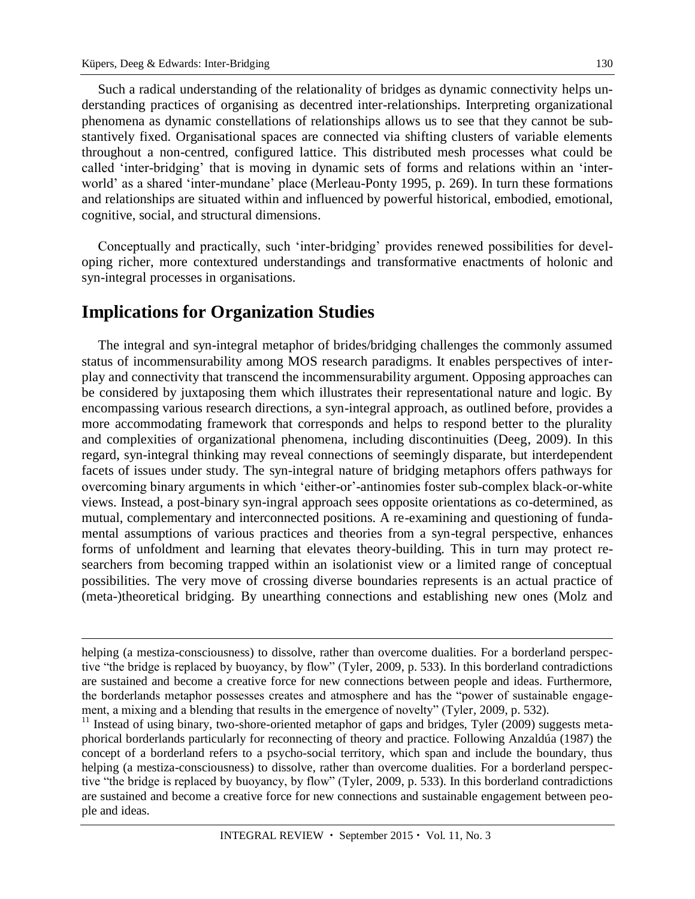Such a radical understanding of the relationality of bridges as dynamic connectivity helps understanding practices of organising as decentred inter-relationships. Interpreting organizational phenomena as dynamic constellations of relationships allows us to see that they cannot be substantively fixed. Organisational spaces are connected via shifting clusters of variable elements throughout a non-centred, configured lattice. This distributed mesh processes what could be called 'inter-bridging' that is moving in dynamic sets of forms and relations within an 'interworld' as a shared 'inter-mundane' place (Merleau-Ponty 1995, p. 269). In turn these formations and relationships are situated within and influenced by powerful historical, embodied, emotional, cognitive, social, and structural dimensions.

Conceptually and practically, such 'inter-bridging' provides renewed possibilities for developing richer, more contextured understandings and transformative enactments of holonic and syn-integral processes in organisations.

#### **Implications for Organization Studies**

The integral and syn-integral metaphor of brides/bridging challenges the commonly assumed status of incommensurability among MOS research paradigms. It enables perspectives of interplay and connectivity that transcend the incommensurability argument. Opposing approaches can be considered by juxtaposing them which illustrates their representational nature and logic. By encompassing various research directions, a syn-integral approach, as outlined before, provides a more accommodating framework that corresponds and helps to respond better to the plurality and complexities of organizational phenomena, including discontinuities (Deeg, 2009). In this regard, syn-integral thinking may reveal connections of seemingly disparate, but interdependent facets of issues under study. The syn-integral nature of bridging metaphors offers pathways for overcoming binary arguments in which 'either-or'-antinomies foster sub-complex black-or-white views. Instead, a post-binary syn-ingral approach sees opposite orientations as co-determined, as mutual, complementary and interconnected positions. A re-examining and questioning of fundamental assumptions of various practices and theories from a syn-tegral perspective, enhances forms of unfoldment and learning that elevates theory-building. This in turn may protect researchers from becoming trapped within an isolationist view or a limited range of conceptual possibilities. The very move of crossing diverse boundaries represents is an actual practice of (meta-)theoretical bridging. By unearthing connections and establishing new ones (Molz and

helping (a mestiza-consciousness) to dissolve, rather than overcome dualities. For a borderland perspective "the bridge is replaced by buoyancy, by flow" (Tyler, 2009, p. 533). In this borderland contradictions are sustained and become a creative force for new connections between people and ideas. Furthermore, the borderlands metaphor possesses creates and atmosphere and has the "power of sustainable engagement, a mixing and a blending that results in the emergence of novelty" (Tyler, 2009, p. 532).

 $11$  Instead of using binary, two-shore-oriented metaphor of gaps and bridges, Tyler (2009) suggests metaphorical borderlands particularly for reconnecting of theory and practice. Following Anzaldúa (1987) the concept of a borderland refers to a psycho-social territory, which span and include the boundary, thus helping (a mestiza-consciousness) to dissolve, rather than overcome dualities. For a borderland perspective "the bridge is replaced by buoyancy, by flow" (Tyler, 2009, p. 533). In this borderland contradictions are sustained and become a creative force for new connections and sustainable engagement between people and ideas.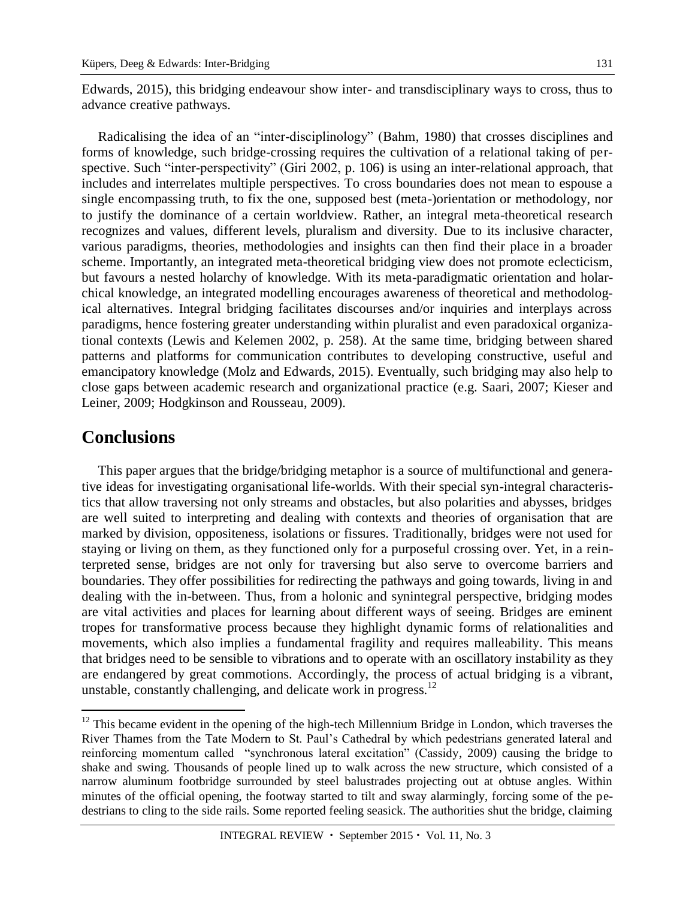Edwards, 2015), this bridging endeavour show inter- and transdisciplinary ways to cross, thus to advance creative pathways.

Radicalising the idea of an "inter-disciplinology" (Bahm, 1980) that crosses disciplines and forms of knowledge, such bridge-crossing requires the cultivation of a relational taking of perspective. Such "inter-perspectivity" (Giri 2002, p. 106) is using an inter-relational approach, that includes and interrelates multiple perspectives. To cross boundaries does not mean to espouse a single encompassing truth, to fix the one, supposed best (meta-)orientation or methodology, nor to justify the dominance of a certain worldview. Rather, an integral meta-theoretical research recognizes and values, different levels, pluralism and diversity. Due to its inclusive character, various paradigms, theories, methodologies and insights can then find their place in a broader scheme. Importantly, an integrated meta-theoretical bridging view does not promote eclecticism, but favours a nested holarchy of knowledge. With its meta-paradigmatic orientation and holarchical knowledge, an integrated modelling encourages awareness of theoretical and methodological alternatives. Integral bridging facilitates discourses and/or inquiries and interplays across paradigms, hence fostering greater understanding within pluralist and even paradoxical organizational contexts (Lewis and Kelemen 2002, p. 258). At the same time, bridging between shared patterns and platforms for communication contributes to developing constructive, useful and emancipatory knowledge (Molz and Edwards, 2015). Eventually, such bridging may also help to close gaps between academic research and organizational practice (e.g. Saari, 2007; Kieser and Leiner, 2009; Hodgkinson and Rousseau, 2009).

#### **Conclusions**

 $\overline{a}$ 

This paper argues that the bridge/bridging metaphor is a source of multifunctional and generative ideas for investigating organisational life-worlds. With their special syn-integral characteristics that allow traversing not only streams and obstacles, but also polarities and abysses, bridges are well suited to interpreting and dealing with contexts and theories of organisation that are marked by division, oppositeness, isolations or fissures. Traditionally, bridges were not used for staying or living on them, as they functioned only for a purposeful crossing over. Yet, in a reinterpreted sense, bridges are not only for traversing but also serve to overcome barriers and boundaries. They offer possibilities for redirecting the pathways and going towards, living in and dealing with the in-between. Thus, from a holonic and synintegral perspective, bridging modes are vital activities and places for learning about different ways of seeing. Bridges are eminent tropes for transformative process because they highlight dynamic forms of relationalities and movements, which also implies a fundamental fragility and requires malleability. This means that bridges need to be sensible to vibrations and to operate with an oscillatory instability as they are endangered by great commotions. Accordingly, the process of actual bridging is a vibrant, unstable, constantly challenging, and delicate work in progress.<sup>12</sup>

 $12$  This became evident in the opening of the high-tech Millennium Bridge in London, which traverses the River Thames from the Tate Modern to St. Paul's Cathedral by which pedestrians generated lateral and reinforcing momentum called "synchronous lateral excitation" (Cassidy, 2009) causing the bridge to shake and swing. Thousands of people lined up to walk across the new structure, which consisted of a narrow aluminum footbridge surrounded by steel balustrades projecting out at obtuse angles. Within minutes of the official opening, the footway started to tilt and sway alarmingly, forcing some of the pedestrians to cling to the side rails. Some reported feeling seasick. The authorities shut the bridge, claiming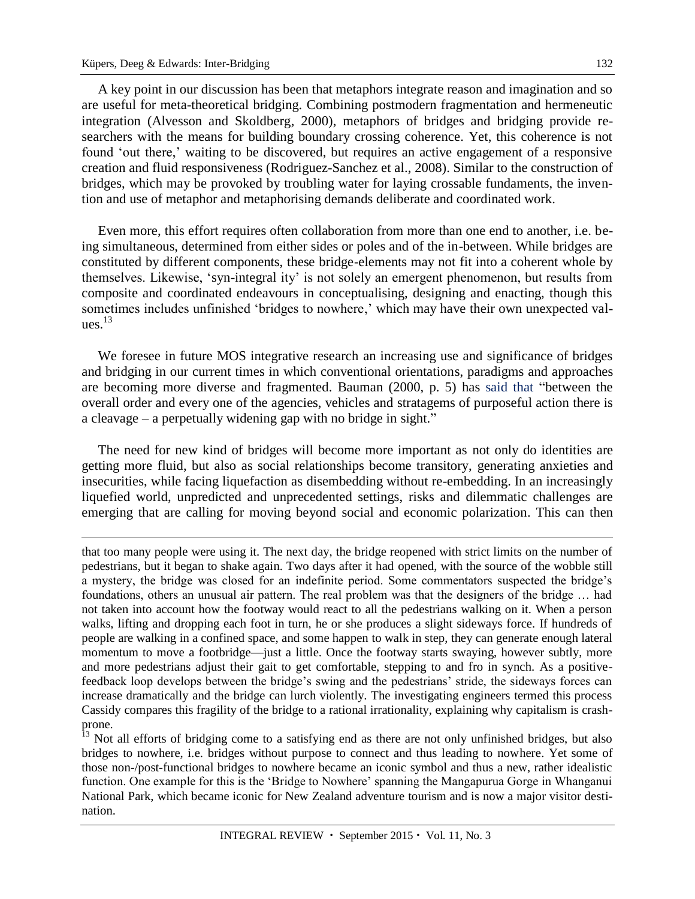A key point in our discussion has been that metaphors integrate reason and imagination and so are useful for meta-theoretical bridging. Combining postmodern fragmentation and hermeneutic integration (Alvesson and Skoldberg, 2000), metaphors of bridges and bridging provide researchers with the means for building boundary crossing coherence. Yet, this coherence is not found 'out there,' waiting to be discovered, but requires an active engagement of a responsive creation and fluid responsiveness (Rodriguez-Sanchez et al., 2008). Similar to the construction of bridges, which may be provoked by troubling water for laying crossable fundaments, the invention and use of metaphor and metaphorising demands deliberate and coordinated work.

Even more, this effort requires often collaboration from more than one end to another, i.e. being simultaneous, determined from either sides or poles and of the in-between. While bridges are constituted by different components, these bridge-elements may not fit into a coherent whole by themselves. Likewise, 'syn-integral ity' is not solely an emergent phenomenon, but results from composite and coordinated endeavours in conceptualising, designing and enacting, though this sometimes includes unfinished 'bridges to nowhere,' which may have their own unexpected values. 13

We foresee in future MOS integrative research an increasing use and significance of bridges and bridging in our current times in which conventional orientations, paradigms and approaches are becoming more diverse and fragmented. Bauman (2000, p. 5) has said that "between the overall order and every one of the agencies, vehicles and stratagems of purposeful action there is a cleavage – a perpetually widening gap with no bridge in sight."

The need for new kind of bridges will become more important as not only do identities are getting more fluid, but also as social relationships become transitory, generating anxieties and insecurities, while facing liquefaction as disembedding without re-embedding. In an increasingly liquefied world, unpredicted and unprecedented settings, risks and dilemmatic challenges are emerging that are calling for moving beyond social and economic polarization. This can then

that too many people were using it. The next day, the bridge reopened with strict limits on the number of pedestrians, but it began to shake again. Two days after it had opened, with the source of the wobble still a mystery, the bridge was closed for an indefinite period. Some commentators suspected the bridge's foundations, others an unusual air pattern. The real problem was that the designers of the bridge … had not taken into account how the footway would react to all the pedestrians walking on it. When a person walks, lifting and dropping each foot in turn, he or she produces a slight sideways force. If hundreds of people are walking in a confined space, and some happen to walk in step, they can generate enough lateral momentum to move a footbridge—just a little. Once the footway starts swaying, however subtly, more and more pedestrians adjust their gait to get comfortable, stepping to and fro in synch. As a positivefeedback loop develops between the bridge's swing and the pedestrians' stride, the sideways forces can increase dramatically and the bridge can lurch violently. The investigating engineers termed this process Cassidy compares this fragility of the bridge to a rational irrationality, explaining why capitalism is crashprone.

<sup>13</sup> Not all efforts of bridging come to a satisfying end as there are not only unfinished bridges, but also bridges to nowhere, i.e. bridges without purpose to connect and thus leading to nowhere. Yet some of those non-/post-functional bridges to nowhere became an iconic symbol and thus a new, rather idealistic function. One example for this is the 'Bridge to Nowhere' spanning the Mangapurua Gorge in Whanganui National Park, which became iconic for New Zealand adventure tourism and is now a major visitor destination.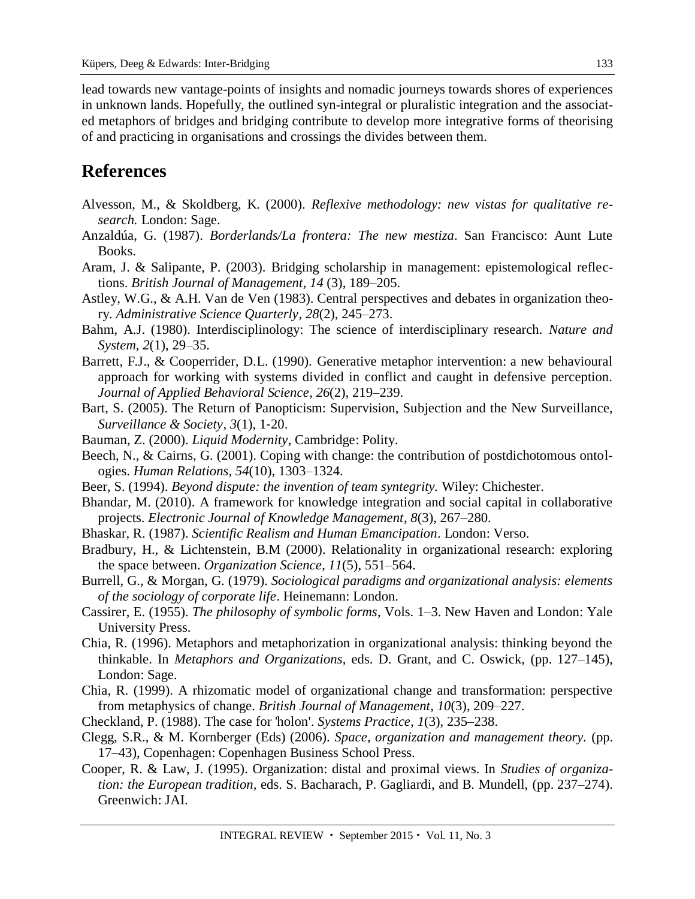lead towards new vantage-points of insights and nomadic journeys towards shores of experiences in unknown lands. Hopefully, the outlined syn-integral or pluralistic integration and the associated metaphors of bridges and bridging contribute to develop more integrative forms of theorising of and practicing in organisations and crossings the divides between them.

## **References**

- Alvesson, M., & Skoldberg, K. (2000). *Reflexive methodology: new vistas for qualitative research.* London: Sage.
- Anzaldúa, G. (1987). *Borderlands/La frontera: The new mestiza*. San Francisco: Aunt Lute Books.
- Aram, J. & Salipante, P. (2003). Bridging scholarship in management: epistemological reflections. *British Journal of Management*, *14* (3), 189–205.
- Astley, W.G., & A.H. Van de Ven (1983). Central perspectives and debates in organization theory. *Administrative Science Quarterly, 28*(2), 245–273.
- Bahm, A.J. (1980). Interdisciplinology: The science of interdisciplinary research. *Nature and System, 2*(1), 29–35.
- Barrett, F.J., & Cooperrider, D.L. (1990). Generative metaphor intervention: a new behavioural approach for working with systems divided in conflict and caught in defensive perception. *Journal of Applied Behavioral Science, 26*(2), 219–239.
- Bart, S. (2005). The Return of Panopticism: Supervision, Subjection and the New Surveillance, *Surveillance & Society*, *3*(1), 1‐20.
- Bauman, Z. (2000). *Liquid Modernity*, Cambridge: Polity.
- Beech, N., & Cairns, G. (2001). Coping with change: the contribution of postdichotomous ontologies. *Human Relations, 54*(10), 1303–1324.
- Beer, S. (1994). *Beyond dispute: the invention of team syntegrity.* Wiley: Chichester.
- Bhandar, M. (2010). A framework for knowledge integration and social capital in collaborative projects. *Electronic Journal of Knowledge Management*, *8*(3), 267–280.
- Bhaskar, R. (1987). *Scientific Realism and Human Emancipation*. London: Verso.
- Bradbury, H., & Lichtenstein, B.M (2000). Relationality in organizational research: exploring the space between. *Organization Science, 11*(5), 551–564.
- Burrell, G., & Morgan, G. (1979). *Sociological paradigms and organizational analysis: elements of the sociology of corporate life*. Heinemann: London.
- Cassirer, E. (1955). *The philosophy of symbolic forms*, Vols. 1–3. New Haven and London: Yale University Press.
- Chia, R. (1996). Metaphors and metaphorization in organizational analysis: thinking beyond the thinkable. In *Metaphors and Organizations*, eds. D. Grant, and C. Oswick, (pp. 127–145), London: Sage.
- Chia, R. (1999). A rhizomatic model of organizational change and transformation: perspective from metaphysics of change. *British Journal of Management, 10*(3), 209–227.
- Checkland, P. (1988). The case for 'holon'. *Systems Practice, 1*(3), 235–238.
- Clegg, S.R., & M. Kornberger (Eds) (2006). *Space, organization and management theory.* (pp. 17–43), Copenhagen: Copenhagen Business School Press.
- Cooper, R. & Law, J. (1995). Organization: distal and proximal views. In *Studies of organization: the European tradition,* eds. S. Bacharach, P. Gagliardi, and B. Mundell, (pp. 237–274). Greenwich: JAI.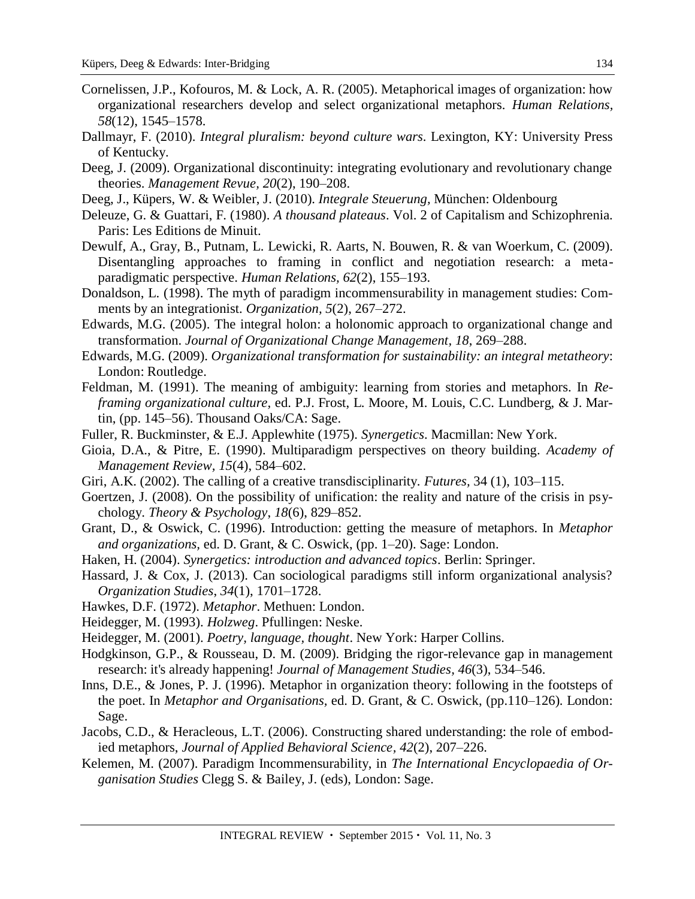Cornelissen, J.P., Kofouros, M. & Lock, A. R. (2005). Metaphorical images of organization: how organizational researchers develop and select organizational metaphors. *Human Relations, 58*(12), 1545–1578.

134

- Dallmayr, F. (2010). *Integral pluralism: beyond culture wars*. Lexington, KY: University Press of Kentucky.
- Deeg, J. (2009). Organizational discontinuity: integrating evolutionary and revolutionary change theories. *Management Revue, 20*(2), 190–208.
- Deeg, J., Küpers, W. & Weibler, J. (2010). *Integrale Steuerung,* München: Oldenbourg
- Deleuze, G. & Guattari, F. (1980). *A thousand plateaus*. Vol. 2 of Capitalism and Schizophrenia. Paris: Les Editions de Minuit.
- Dewulf, A., Gray, B., Putnam, L. Lewicki, R. Aarts, N. Bouwen, R. & van Woerkum, C. (2009). Disentangling approaches to framing in conflict and negotiation research: a metaparadigmatic perspective. *Human Relations, 62*(2), 155–193.
- Donaldson, L. (1998). The myth of paradigm incommensurability in management studies: Comments by an integrationist. *Organization, 5*(2), 267–272.
- Edwards, M.G. (2005). The integral holon: a holonomic approach to organizational change and transformation. *Journal of Organizational Change Management, 18*, 269–288.
- Edwards, M.G. (2009). *Organizational transformation for sustainability: an integral metatheory*: London: Routledge.
- Feldman, M. (1991). The meaning of ambiguity: learning from stories and metaphors. In *Reframing organizational culture,* ed. P.J. Frost, L. Moore, M. Louis, C.C. Lundberg, & J. Martin, (pp. 145–56). Thousand Oaks/CA: Sage.
- Fuller, R. Buckminster, & E.J. Applewhite (1975). *Synergetics*. Macmillan: New York.
- Gioia, D.A., & Pitre, E. (1990). Multiparadigm perspectives on theory building. *Academy of Management Review, 15*(4), 584–602.
- Giri, A.K. (2002). The calling of a creative transdisciplinarity. *Futures,* 34 (1), 103–115.
- Goertzen, J. (2008). On the possibility of unification: the reality and nature of the crisis in psychology. *Theory & Psychology*, *18*(6), 829–852.
- Grant, D., & Oswick, C. (1996). Introduction: getting the measure of metaphors. In *Metaphor and organizations,* ed. D. Grant, & C. Oswick, (pp. 1–20). Sage: London.
- Haken, H. (2004). *Synergetics: introduction and advanced topics*. Berlin: Springer.
- Hassard, J. & Cox, J. (2013). Can sociological paradigms still inform organizational analysis? *Organization Studies*, *34*(1), 1701–1728.
- Hawkes, D.F. (1972). *Metaphor*. Methuen: London.
- Heidegger, M. (1993). *Holzweg*. Pfullingen: Neske.
- Heidegger, M. (2001). *Poetry, language, thought*. New York: Harper Collins.
- Hodgkinson, G.P., & Rousseau, D. M. (2009). Bridging the rigor-relevance gap in management research: it's already happening! *Journal of Management Studies, 46*(3), 534–546.
- Inns, D.E., & Jones, P. J. (1996). Metaphor in organization theory: following in the footsteps of the poet. In *Metaphor and Organisations,* ed. D. Grant, & C. Oswick, (pp.110–126). London: Sage.
- Jacobs, C.D., & Heracleous, L.T. (2006). Constructing shared understanding: the role of embodied metaphors, *Journal of Applied Behavioral Science, 42*(2), 207–226.
- Kelemen, M. (2007). Paradigm Incommensurability, in *The International Encyclopaedia of Organisation Studies* Clegg S. & Bailey, J. (eds), London: Sage.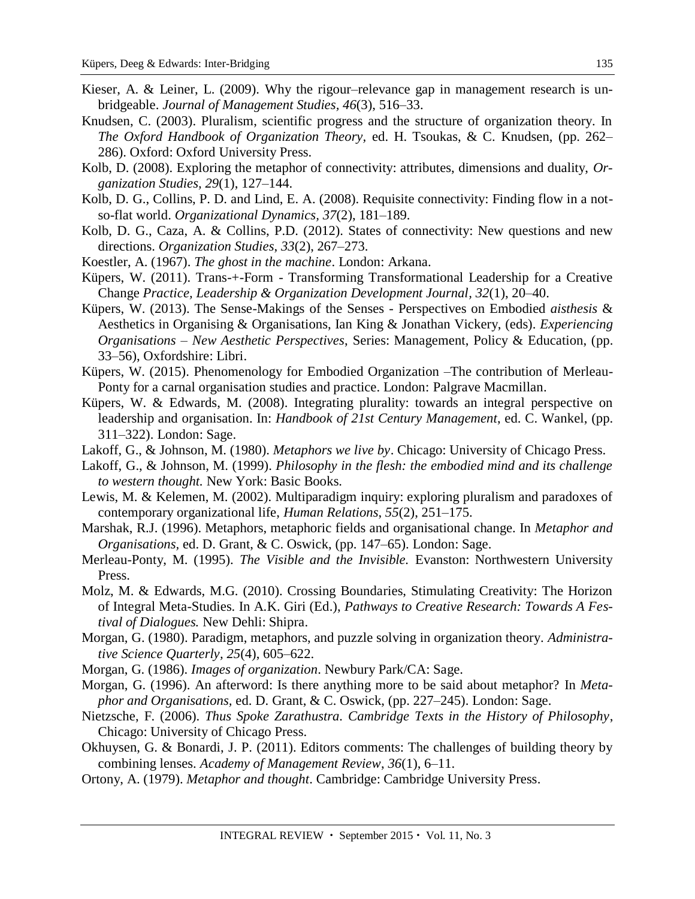- Kieser, A. & Leiner, L. (2009). Why the rigour–relevance gap in management research is unbridgeable. *Journal of Management Studies, 46*(3), 516–33.
- Knudsen, C. (2003). Pluralism, scientific progress and the structure of organization theory. In *The Oxford Handbook of Organization Theory,* ed. H. Tsoukas, & C. Knudsen, (pp. 262– 286). Oxford: Oxford University Press.
- Kolb, D. (2008). Exploring the metaphor of connectivity: attributes, dimensions and duality, *Organization Studies, 29*(1), 127–144.
- [Kolb, D. G., Collins, P. D. and Lind, E. A. \(2008\). Requisite connectivity: Finding flow in a not](http://www.sciencedirect.com/science/article/pii/S0090261608000156)so-flat world. *[Organizational Dynamics,](http://www.sciencedirect.com/science/article/pii/S0090261608000156) 37*(2), 181–189.
- Kolb, D. G., Caza, A. & Collins, P.D. (2012). States of connectivity: New questions and new directions. *Organization Studies*, *33*(2), 267–273.
- Koestler, A. (1967). *The ghost in the machine*. London: Arkana.
- Küpers, W. (2011). Trans-+-Form Transforming Transformational Leadership for a Creative Change *Practice, Leadership & Organization Development Journal, 32*(1), 20–40.
- Küpers, W. (2013). The Sense-Makings of the Senses Perspectives on Embodied *aisthesis* & Aesthetics in Organising & Organisations, Ian King & Jonathan Vickery, (eds). *Experiencing Organisations – New Aesthetic Perspectives*, Series: Management, Policy & Education, (pp. 33–56), Oxfordshire: Libri.
- Küpers, W. (2015). Phenomenology for Embodied Organization –The contribution of Merleau-Ponty for a carnal organisation studies and practice. London: Palgrave Macmillan.
- Küpers, W. & Edwards, M. (2008). Integrating plurality: towards an integral perspective on leadership and organisation. In: *Handbook of 21st Century Management*, ed. C. Wankel, (pp. 311–322). London: Sage.
- Lakoff, G., & Johnson, M. (1980). *Metaphors we live by*. Chicago: University of Chicago Press.
- Lakoff, G., & Johnson, M. (1999). *Philosophy in the flesh: the embodied mind and its challenge to western thought.* New York: Basic Books.
- Lewis, M. & Kelemen, M. (2002). Multiparadigm inquiry: exploring pluralism and paradoxes of contemporary organizational life, *Human Relations*, *55*(2), 251–175.
- Marshak, R.J. (1996). Metaphors, metaphoric fields and organisational change. In *Metaphor and Organisations,* ed. D. Grant, & C. Oswick, (pp. 147–65). London: Sage.
- Merleau-Ponty, M. (1995). *The Visible and the Invisible.* Evanston: Northwestern University Press.
- Molz, M. & Edwards, M.G. (2010). Crossing Boundaries, Stimulating Creativity: The Horizon of Integral Meta-Studies. In A.K. Giri (Ed.), *Pathways to Creative Research: Towards A Festival of Dialogues.* New Dehli: Shipra.
- Morgan, G. (1980). Paradigm, metaphors, and puzzle solving in organization theory. *Administrative Science Quarterly, 25*(4), 605–622.
- Morgan, G. (1986). *Images of organization*. Newbury Park/CA: Sage.
- Morgan, G. (1996). An afterword: Is there anything more to be said about metaphor? In *Metaphor and Organisations,* ed. D. Grant, & C. Oswick, (pp. 227–245). London: Sage.
- Nietzsche, F. (2006). *Thus Spoke Zarathustra. Cambridge Texts in the History of Philosophy*, Chicago: University of Chicago Press.
- Okhuysen, G. & Bonardi, J. P. (2011). Editors comments: The challenges of building theory by combining lenses. *Academy of Management Review*, *36*(1), 6–11.
- Ortony, A. (1979). *Metaphor and thought*. Cambridge: Cambridge University Press.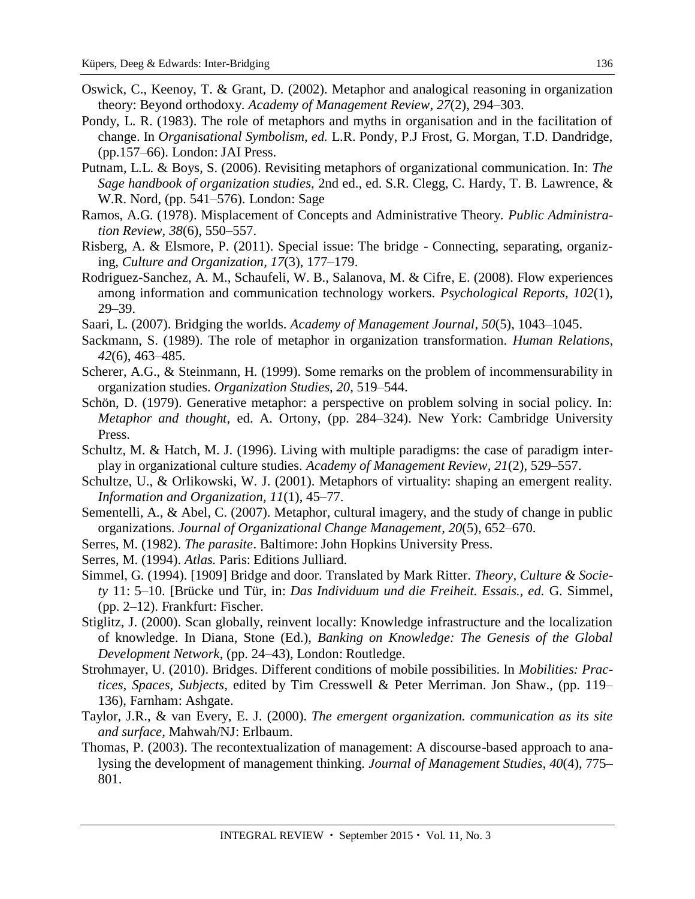- Oswick, C., Keenoy, T. & Grant, D. (2002). Metaphor and analogical reasoning in organization theory: Beyond orthodoxy. *Academy of Management Review*, *27*(2), 294–303.
- Pondy, L. R. (1983). The role of metaphors and myths in organisation and in the facilitation of change. In *Organisational Symbolism, ed.* L.R. Pondy, P.J Frost, G. Morgan, T.D. Dandridge, (pp.157–66). London: JAI Press.
- Putnam, L.L. & Boys, S. (2006). Revisiting metaphors of organizational communication. In: *The Sage handbook of organization studies,* 2nd ed., ed. S.R. Clegg, C. Hardy, T. B. Lawrence, & W.R. Nord, (pp. 541–576). London: Sage
- Ramos, A.G. (1978). Misplacement of Concepts and Administrative Theory. *Public Administration Review, 38*(6), 550–557.
- [Risberg,](https://www.researchgate.net/researcher/2040153165_Annette_Risberg/) A. & [Elsmore,](https://www.researchgate.net/researcher/2021534227_peter_elsmore/) P. (2011). Special issue: The bridge Connecting, separating, organizing, *Culture and Organization, 17*(3), 177–179.
- Rodriguez-Sanchez, A. M., Schaufeli, W. B., Salanova, M. & Cifre, E. (2008). Flow experiences among information and communication technology workers. *Psychological Reports, 102*(1), 29–39.
- Saari, L. (2007). Bridging the worlds. *Academy of Management Journal, 50*(5), 1043–1045.
- Sackmann, S. (1989). The role of metaphor in organization transformation. *Human Relations, 42*(6), 463–485.
- Scherer, A.G., & Steinmann, H. (1999). Some remarks on the problem of incommensurability in organization studies. *Organization Studies, 20*, 519–544.
- Schön, D. (1979). Generative metaphor: a perspective on problem solving in social policy. In: *Metaphor and thought,* ed. A. Ortony, (pp. 284–324). New York: Cambridge University Press.
- Schultz, M. & Hatch, M. J. (1996). Living with multiple paradigms: the case of paradigm interplay in organizational culture studies. *Academy of Management Review, 21*(2), 529–557.
- Schultze, U., & Orlikowski, W. J. (2001). Metaphors of virtuality: shaping an emergent reality. *Information and Organization, 11*(1), 45–77.
- Sementelli, A., & Abel, C. (2007). Metaphor, cultural imagery, and the study of change in public organizations. *Journal of Organizational Change Management, 20*(5), 652–670.
- Serres, M. (1982). *The parasite*. Baltimore: John Hopkins University Press.
- Serres, M. (1994). *Atlas.* Paris: Editions Julliard.
- Simmel, G. (1994). [1909] Bridge and door. Translated by Mark Ritter. *Theory, Culture & Society* 11: 5–10. [Brücke und Tür, in: *Das Individuum und die Freiheit. Essais., ed.* G. Simmel, (pp. 2–12). Frankfurt: Fischer.
- Stiglitz, J. (2000). Scan globally, reinvent locally: Knowledge infrastructure and the localization of knowledge. In Diana, Stone (Ed.), *Banking on Knowledge: The Genesis of the Global Development Network*, (pp. 24–43), London: Routledge.
- Strohmayer, U. (2010). Bridges. Different conditions of mobile possibilities. In *Mobilities: Practices, Spaces, Subjects*, edited by Tim Cresswell & Peter Merriman. Jon Shaw., (pp. 119– 136), Farnham: Ashgate.
- Taylor, J.R., & van Every, E. J. (2000). *The emergent organization. communication as its site and surface,* Mahwah/NJ: Erlbaum.
- Thomas, P. (2003). The recontextualization of management: A discourse-based approach to analysing the development of management thinking. *Journal of Management Studies*, *40*(4), 775– 801.